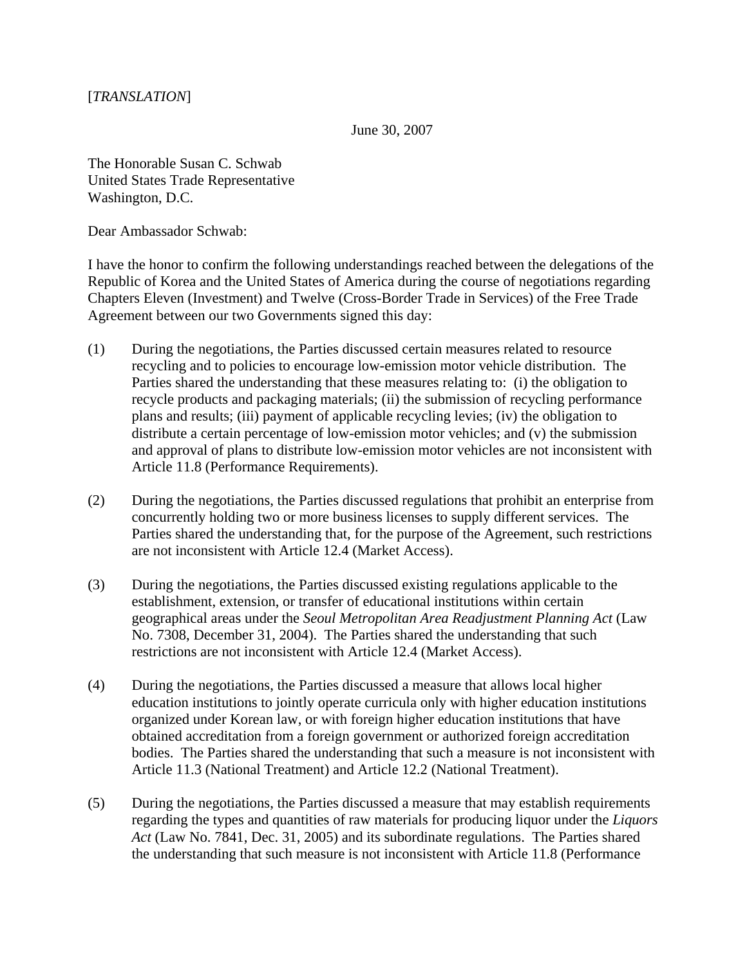June 30, 2007

The Honorable Susan C. Schwab United States Trade Representative Washington, D.C.

Dear Ambassador Schwab:

I have the honor to confirm the following understandings reached between the delegations of the Republic of Korea and the United States of America during the course of negotiations regarding Chapters Eleven (Investment) and Twelve (Cross-Border Trade in Services) of the Free Trade Agreement between our two Governments signed this day:

- (1) During the negotiations, the Parties discussed certain measures related to resource recycling and to policies to encourage low-emission motor vehicle distribution. The Parties shared the understanding that these measures relating to: (i) the obligation to recycle products and packaging materials; (ii) the submission of recycling performance plans and results; (iii) payment of applicable recycling levies; (iv) the obligation to distribute a certain percentage of low-emission motor vehicles; and (v) the submission and approval of plans to distribute low-emission motor vehicles are not inconsistent with Article 11.8 (Performance Requirements).
- (2) During the negotiations, the Parties discussed regulations that prohibit an enterprise from concurrently holding two or more business licenses to supply different services. The Parties shared the understanding that, for the purpose of the Agreement, such restrictions are not inconsistent with Article 12.4 (Market Access).
- (3) During the negotiations, the Parties discussed existing regulations applicable to the establishment, extension, or transfer of educational institutions within certain geographical areas under the *Seoul Metropolitan Area Readjustment Planning Act* (Law No. 7308, December 31, 2004). The Parties shared the understanding that such restrictions are not inconsistent with Article 12.4 (Market Access).
- (4) During the negotiations, the Parties discussed a measure that allows local higher education institutions to jointly operate curricula only with higher education institutions organized under Korean law, or with foreign higher education institutions that have obtained accreditation from a foreign government or authorized foreign accreditation bodies. The Parties shared the understanding that such a measure is not inconsistent with Article 11.3 (National Treatment) and Article 12.2 (National Treatment).
- (5) During the negotiations, the Parties discussed a measure that may establish requirements regarding the types and quantities of raw materials for producing liquor under the *Liquors Act* (Law No. 7841, Dec. 31, 2005) and its subordinate regulations. The Parties shared the understanding that such measure is not inconsistent with Article 11.8 (Performance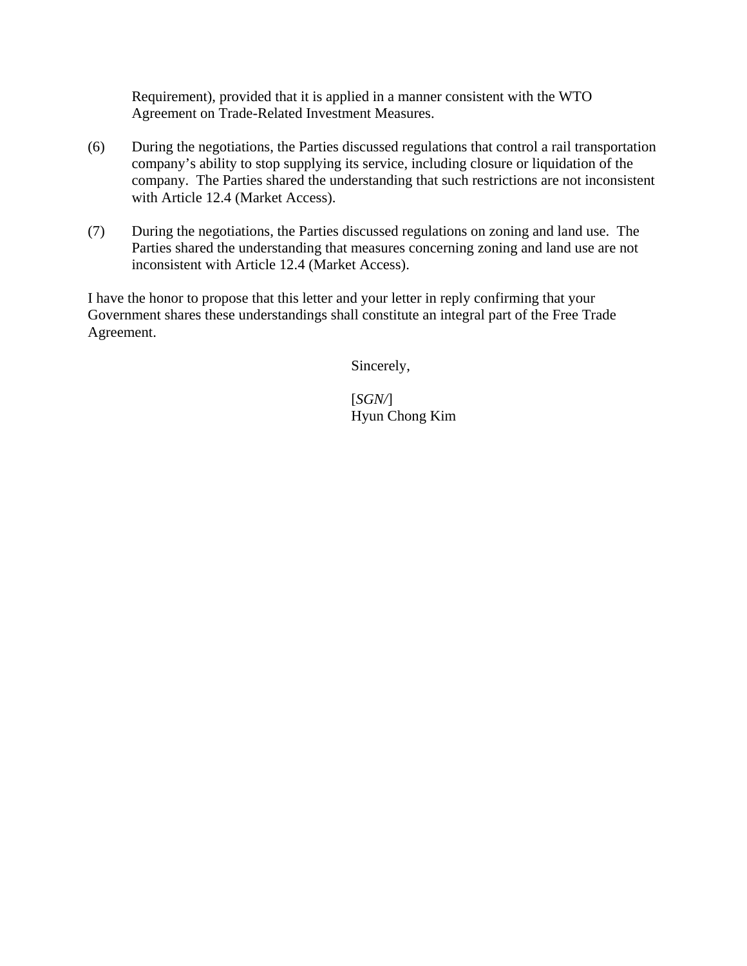Requirement), provided that it is applied in a manner consistent with the WTO Agreement on Trade-Related Investment Measures.

- (6) During the negotiations, the Parties discussed regulations that control a rail transportation company's ability to stop supplying its service, including closure or liquidation of the company. The Parties shared the understanding that such restrictions are not inconsistent with Article 12.4 (Market Access).
- (7) During the negotiations, the Parties discussed regulations on zoning and land use. The Parties shared the understanding that measures concerning zoning and land use are not inconsistent with Article 12.4 (Market Access).

I have the honor to propose that this letter and your letter in reply confirming that your Government shares these understandings shall constitute an integral part of the Free Trade Agreement.

Sincerely,

[*SGN/*] Hyun Chong Kim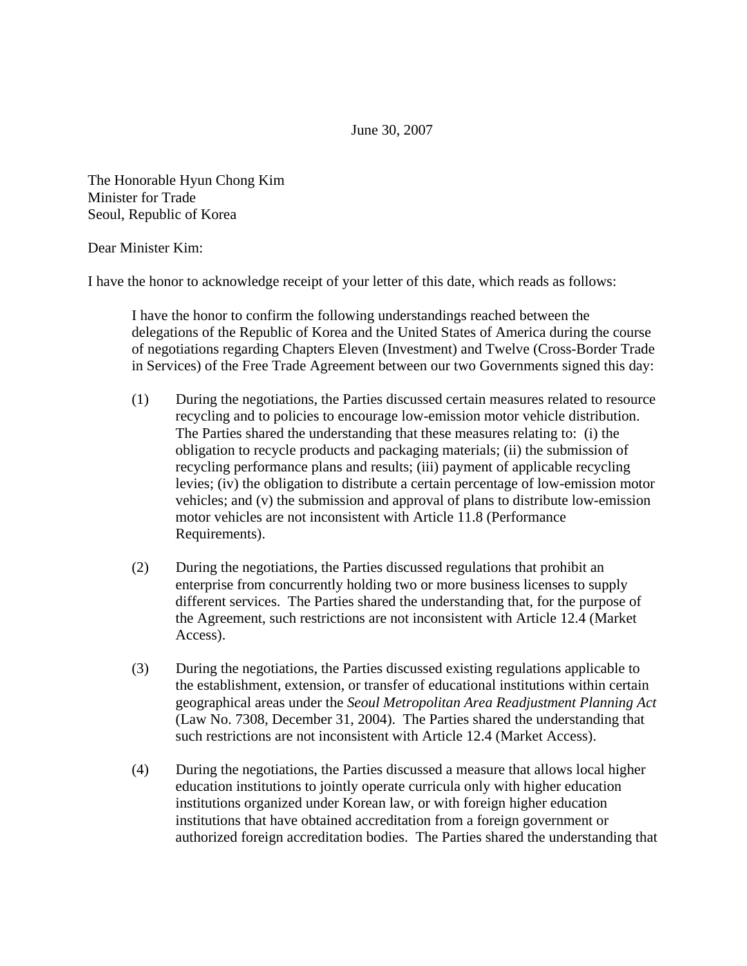June 30, 2007

The Honorable Hyun Chong Kim Minister for Trade Seoul, Republic of Korea

## Dear Minister Kim:

I have the honor to acknowledge receipt of your letter of this date, which reads as follows:

I have the honor to confirm the following understandings reached between the delegations of the Republic of Korea and the United States of America during the course of negotiations regarding Chapters Eleven (Investment) and Twelve (Cross-Border Trade in Services) of the Free Trade Agreement between our two Governments signed this day:

- (1) During the negotiations, the Parties discussed certain measures related to resource recycling and to policies to encourage low-emission motor vehicle distribution. The Parties shared the understanding that these measures relating to: (i) the obligation to recycle products and packaging materials; (ii) the submission of recycling performance plans and results; (iii) payment of applicable recycling levies; (iv) the obligation to distribute a certain percentage of low-emission motor vehicles; and (v) the submission and approval of plans to distribute low-emission motor vehicles are not inconsistent with Article 11.8 (Performance Requirements).
- (2) During the negotiations, the Parties discussed regulations that prohibit an enterprise from concurrently holding two or more business licenses to supply different services. The Parties shared the understanding that, for the purpose of the Agreement, such restrictions are not inconsistent with Article 12.4 (Market Access).
- (3) During the negotiations, the Parties discussed existing regulations applicable to the establishment, extension, or transfer of educational institutions within certain geographical areas under the *Seoul Metropolitan Area Readjustment Planning Act* (Law No. 7308, December 31, 2004). The Parties shared the understanding that such restrictions are not inconsistent with Article 12.4 (Market Access).
- (4) During the negotiations, the Parties discussed a measure that allows local higher education institutions to jointly operate curricula only with higher education institutions organized under Korean law, or with foreign higher education institutions that have obtained accreditation from a foreign government or authorized foreign accreditation bodies. The Parties shared the understanding that